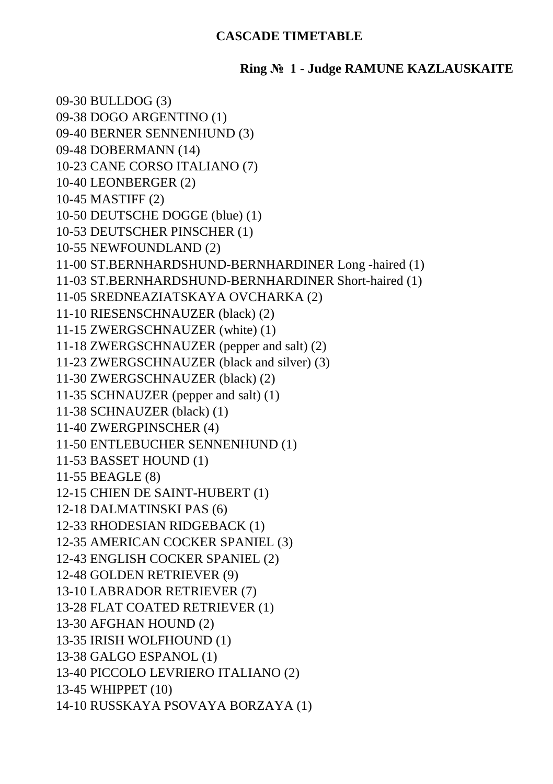## **CASCADE TIMETABLE**

## **Ring № 1 - Judge RAMUNE KAZLAUSKAITE**

09-30 BULLDOG (3) 09-38 DOGO ARGENTINO (1) 09-40 BERNER SENNENHUND (3) 09-48 DOBERMANN (14) 10-23 CANE CORSO ITALIANO (7) 10-40 LEONBERGER (2) 10-45 MASTIFF (2) 10-50 DEUTSCHE DOGGE (blue) (1) 10-53 DEUTSCHER PINSCHER (1) 10-55 NEWFOUNDLAND (2) 11-00 ST.BERNHARDSHUND-BERNHARDINER Long -haired (1) 11-03 ST.BERNHARDSHUND-BERNHARDINER Short-haired (1) 11-05 SREDNEAZIATSKAYA OVCHARKA (2) 11-10 RIESENSCHNAUZER (black) (2) 11-15 ZWERGSCHNAUZER (white) (1) 11-18 ZWERGSCHNAUZER (pepper and salt) (2) 11-23 ZWERGSCHNAUZER (black and silver) (3) 11-30 ZWERGSCHNAUZER (black) (2) 11-35 SCHNAUZER (pepper and salt) (1) 11-38 SCHNAUZER (black) (1) 11-40 ZWERGPINSCHER (4) 11-50 ENTLEBUCHER SENNENHUND (1) 11-53 BASSET HOUND (1) 11-55 BEAGLE (8) 12-15 CHIEN DE SAINT-HUBERT (1) 12-18 DALMATINSKI PAS (6) 12-33 RHODESIAN RIDGEBACK (1) 12-35 AMERICAN COCKER SPANIEL (3) 12-43 ENGLISH COCKER SPANIEL (2) 12-48 GOLDEN RETRIEVER (9) 13-10 LABRADOR RETRIEVER (7) 13-28 FLAT COATED RETRIEVER (1) 13-30 AFGHAN HOUND (2) 13-35 IRISH WOLFHOUND (1) 13-38 GALGO ESPANOL (1) 13-40 PICCOLO LEVRIERO ITALIANO (2) 13-45 WHIPPET (10) 14-10 RUSSKAYA PSOVAYA BORZAYA (1)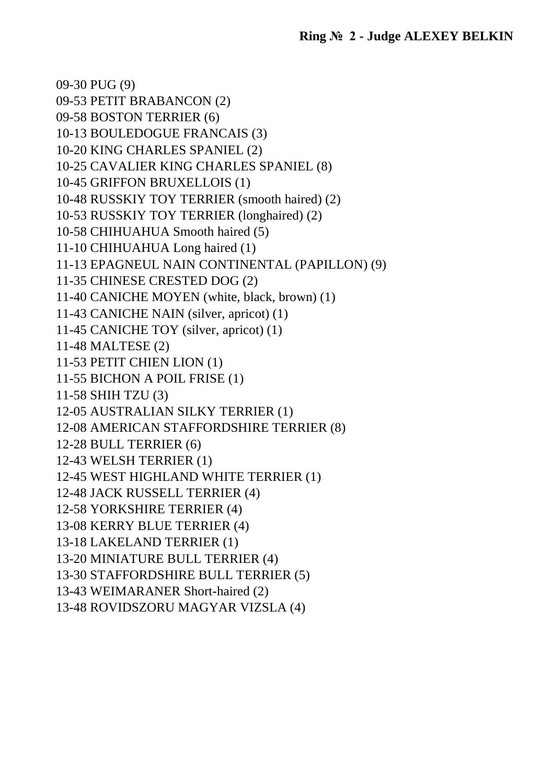09-30 PUG (9) 09-53 PETIT BRABANCON (2) 09-58 BOSTON TERRIER (6) 10-13 BOULEDOGUE FRANCAIS (3) 10-20 KING CHARLES SPANIEL (2) 10-25 CAVALIER KING CHARLES SPANIEL (8) 10-45 GRIFFON BRUXELLOIS (1) 10-48 RUSSKIY TOY TERRIER (smooth haired) (2) 10-53 RUSSKIY TOY TERRIER (longhaired) (2) 10-58 CHIHUAHUA Smooth haired (5) 11-10 CHIHUAHUA Long haired (1) 11-13 EPAGNEUL NAIN CONTINENTAL (PAPILLON) (9) 11-35 CHINESE CRESTED DOG (2) 11-40 CANICHE MOYEN (white, black, brown) (1) 11-43 CANICHE NAIN (silver, apricot) (1) 11-45 CANICHE TOY (silver, apricot) (1) 11-48 MALTESE (2) 11-53 PETIT CHIEN LION (1) 11-55 BICHON A POIL FRISE (1) 11-58 SHIH TZU (3) 12-05 AUSTRALIAN SILKY TERRIER (1) 12-08 AMERICAN STAFFORDSHIRE TERRIER (8) 12-28 BULL TERRIER (6) 12-43 WELSH TERRIER (1) 12-45 WEST HIGHLAND WHITE TERRIER (1) 12-48 JACK RUSSELL TERRIER (4) 12-58 YORKSHIRE TERRIER (4) 13-08 KERRY BLUE TERRIER (4) 13-18 LAKELAND TERRIER (1) 13-20 MINIATURE BULL TERRIER (4) 13-30 STAFFORDSHIRE BULL TERRIER (5) 13-43 WEIMARANER Short-haired (2) 13-48 ROVIDSZORU MAGYAR VIZSLA (4)